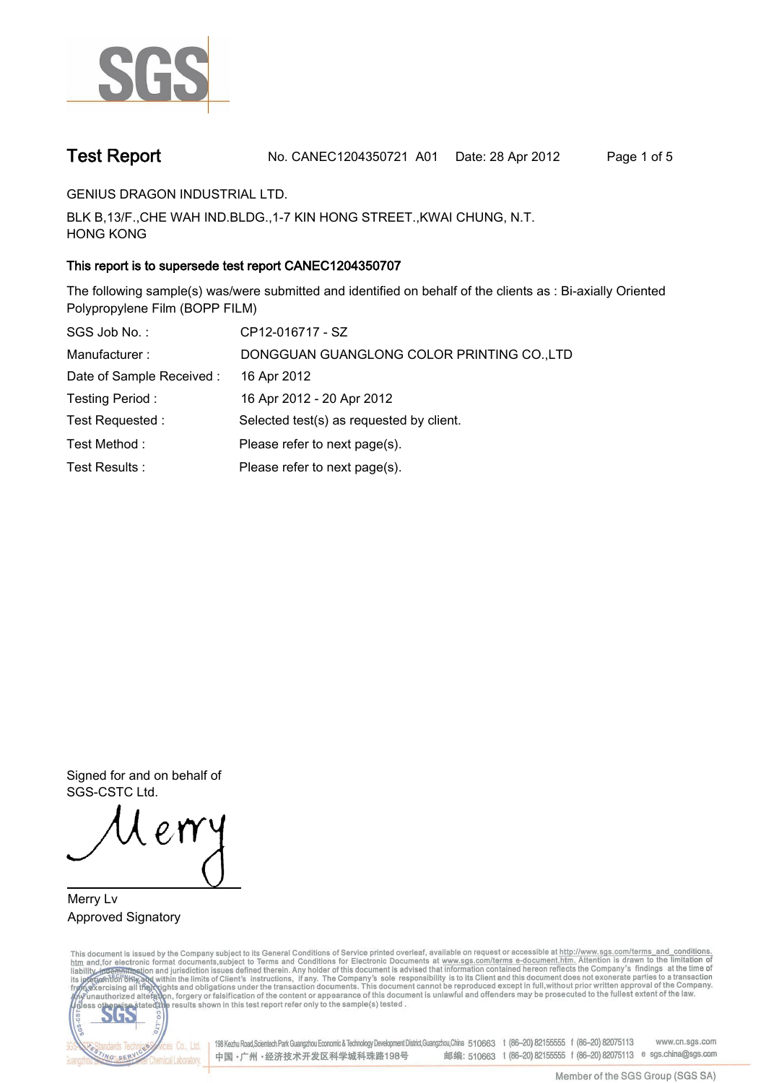

**Test Report. No. CANEC1204350721 A01 Date: 28 Apr 2012. Page 1 of 5.**

**GENIUS DRAGON INDUSTRIAL LTD..**

**BLK B,13/F.,CHE WAH IND.BLDG.,1-7 KIN HONG STREET.,KWAI CHUNG, N.T. HONG KONG.**

# **This report is to supersede test report CANEC1204350707.**

**The following sample(s) was/were submitted and identified on behalf of the clients as : Bi-axially Oriented Polypropylene Film (BOPP FILM).**

| SGS Job No.:              | CP12-016717 - SZ                           |
|---------------------------|--------------------------------------------|
| Manufacturer:             | DONGGUAN GUANGLONG COLOR PRINTING CO., LTD |
| Date of Sample Received : | 16 Apr 2012                                |
| Testing Period:           | 16 Apr 2012 - 20 Apr 2012                  |
| Test Requested:           | Selected test(s) as requested by client.   |
| Test Method:              | Please refer to next page(s).              |
| Test Results:             | Please refer to next page(s).              |

**Signed for and on behalf of SGS-CSTC Ltd..**

**Merry Lv. Approved Signatory.**

This document is issued by the Company subject to its General Conditions of Service printed overleaf, available on request or accessible at http://www.sgs.com/terms\_and\_conditions.<br>htm\_and, for electronic format documents,



198 Kezhu Road,Scientech Park Guangzhou Economic & Technology Development District,Guangzhou,China 510663 t (86-20) 82155555 f (86-20) 82075113 www.cn.sgs.com 邮编: 510663 t (86-20) 82155555 f (86-20) 82075113 e sgs.china@sgs.com 中国·广州·经济技术开发区科学城科珠路198号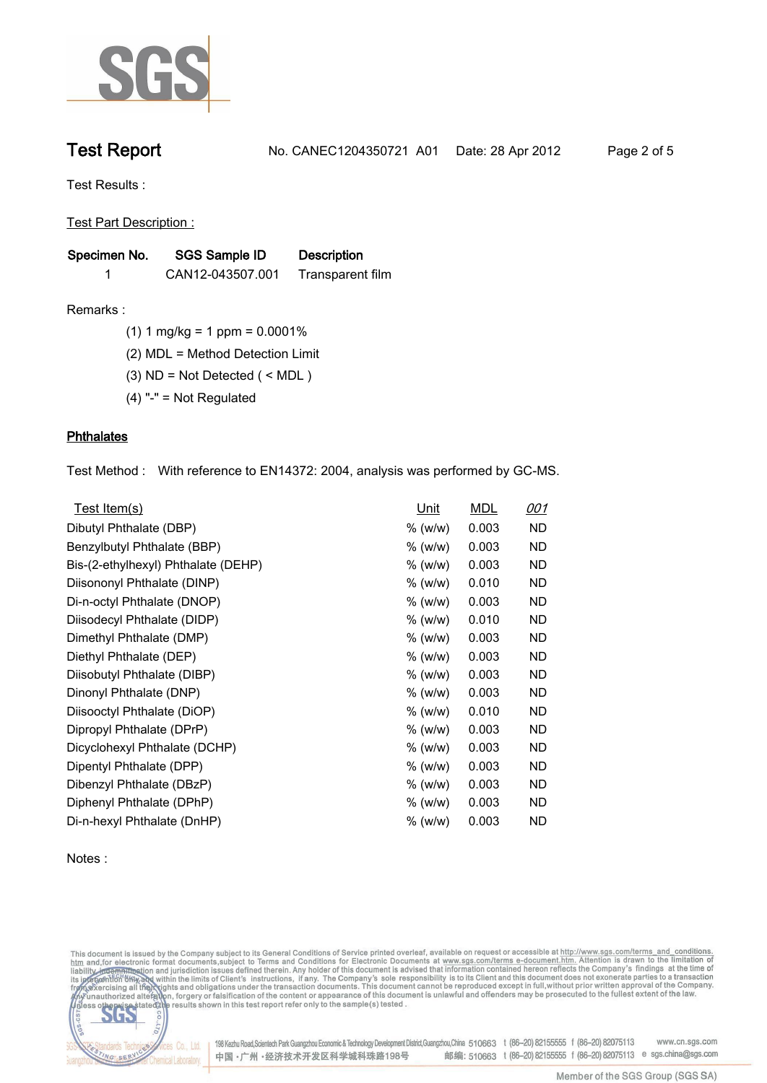

**Test Report. No. CANEC1204350721 A01 Date: 28 Apr 2012. Page 2 of 5.**

**Test Results :.**

**Test Part Description :.**

| Specimen No. | <b>SGS Sample ID</b> | <b>Description</b> |  |
|--------------|----------------------|--------------------|--|
|              | CAN12-043507.001     | Transparent film   |  |

**Remarks :.(1) 1 mg/kg = 1 ppm = 0.0001%.**

**(2) MDL = Method Detection Limit.**

**(3) ND = Not Detected ( < MDL ).**

**(4) "-" = Not Regulated.**

## **Phthalates.**

**Test Method :. With reference to EN14372: 2004, analysis was performed by GC-MS..**

| Test Item(s)                        | Unit      | <b>MDL</b> | <u>001</u> |
|-------------------------------------|-----------|------------|------------|
| Dibutyl Phthalate (DBP)             | % (w/w)   | 0.003      | ND         |
| Benzylbutyl Phthalate (BBP)         | % (w/w)   | 0.003      | ND         |
| Bis-(2-ethylhexyl) Phthalate (DEHP) | % (w/w)   | 0.003      | ND.        |
| Diisononyl Phthalate (DINP)         | % (w/w)   | 0.010      | ND.        |
| Di-n-octyl Phthalate (DNOP)         | % (w/w)   | 0.003      | ND.        |
| Diisodecyl Phthalate (DIDP)         | % (w/w)   | 0.010      | ND         |
| Dimethyl Phthalate (DMP)            | % (w/w)   | 0.003      | ND.        |
| Diethyl Phthalate (DEP)             | % (w/w)   | 0.003      | ND         |
| Diisobutyl Phthalate (DIBP)         | $%$ (w/w) | 0.003      | ND         |
| Dinonyl Phthalate (DNP)             | % (w/w)   | 0.003      | ND         |
| Diisooctyl Phthalate (DiOP)         | % (w/w)   | 0.010      | ND         |
| Dipropyl Phthalate (DPrP)           | $%$ (w/w) | 0.003      | ND.        |
| Dicyclohexyl Phthalate (DCHP)       | $%$ (w/w) | 0.003      | ND.        |
| Dipentyl Phthalate (DPP)            | % (w/w)   | 0.003      | ND.        |
| Dibenzyl Phthalate (DBzP)           | % (w/w)   | 0.003      | ND.        |
| Diphenyl Phthalate (DPhP)           | % (w/w)   | 0.003      | ND.        |
| Di-n-hexyl Phthalate (DnHP)         | % (w/w)   | 0.003      | ND         |

**Notes :.**

This document is issued by the Company subject to its General Conditions of Service printed overleaf, available on request or accessible at http://www.sgs.com/terms\_and\_conditions.<br>htm\_and, for electronic format documents,



198 Kezhu Road, Scientech Park Guangzhou Economic & Technology Development District, Guangzhou, China 510663 t (86-20) 82155555 f (86-20) 82075113 www.cn.sgs.com 邮编: 510663 t (86-20) 82155555 f (86-20) 82075113 e sgs.china@sgs.com 中国·广州·经济技术开发区科学城科珠路198号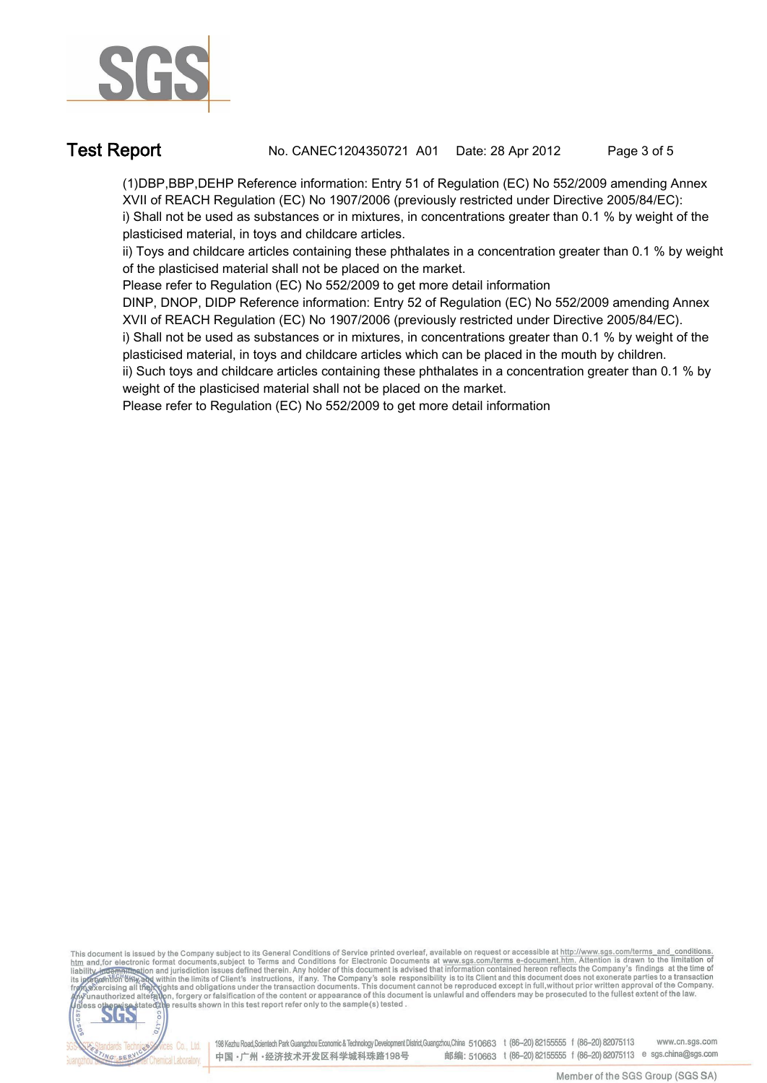

**Test Report. No. CANEC1204350721 A01 Date: 28 Apr 2012. Page 3 of 5.**

**(1)DBP,BBP,DEHP Reference information: Entry 51 of Regulation (EC) No 552/2009 amending Annex XVII of REACH Regulation (EC) No 1907/2006 (previously restricted under Directive 2005/84/EC): i) Shall not be used as substances or in mixtures, in concentrations greater than 0.1 % by weight of the plasticised material, in toys and childcare articles.** 

**ii) Toys and childcare articles containing these phthalates in a concentration greater than 0.1 % by weight of the plasticised material shall not be placed on the market.** 

**Please refer to Regulation (EC) No 552/2009 to get more detail information**

**DINP, DNOP, DIDP Reference information: Entry 52 of Regulation (EC) No 552/2009 amending Annex XVII of REACH Regulation (EC) No 1907/2006 (previously restricted under Directive 2005/84/EC).** 

**i) Shall not be used as substances or in mixtures, in concentrations greater than 0.1 % by weight of the plasticised material, in toys and childcare articles which can be placed in the mouth by children.** 

**ii) Such toys and childcare articles containing these phthalates in a concentration greater than 0.1 % by weight of the plasticised material shall not be placed on the market.** 

**Please refer to Regulation (EC) No 552/2009 to get more detail information.**

This document is issued by the Company subject to its General Conditions of Service printed overleaf, available on request or accessible at http://www.sgs.com/terms\_and\_conditions.<br>htm\_and,for electronic format documents,s



198 Kezhu Road, Scientech Park Guangzhou Economic & Technology Development District, Guangzhou, China 510663 t (86-20) 82155555 f (86-20) 82075113 www.cn.sgs.com 邮编: 510663 t (86-20) 82155555 f (86-20) 82075113 e sgs.china@sgs.com 中国·广州·经济技术开发区科学城科珠路198号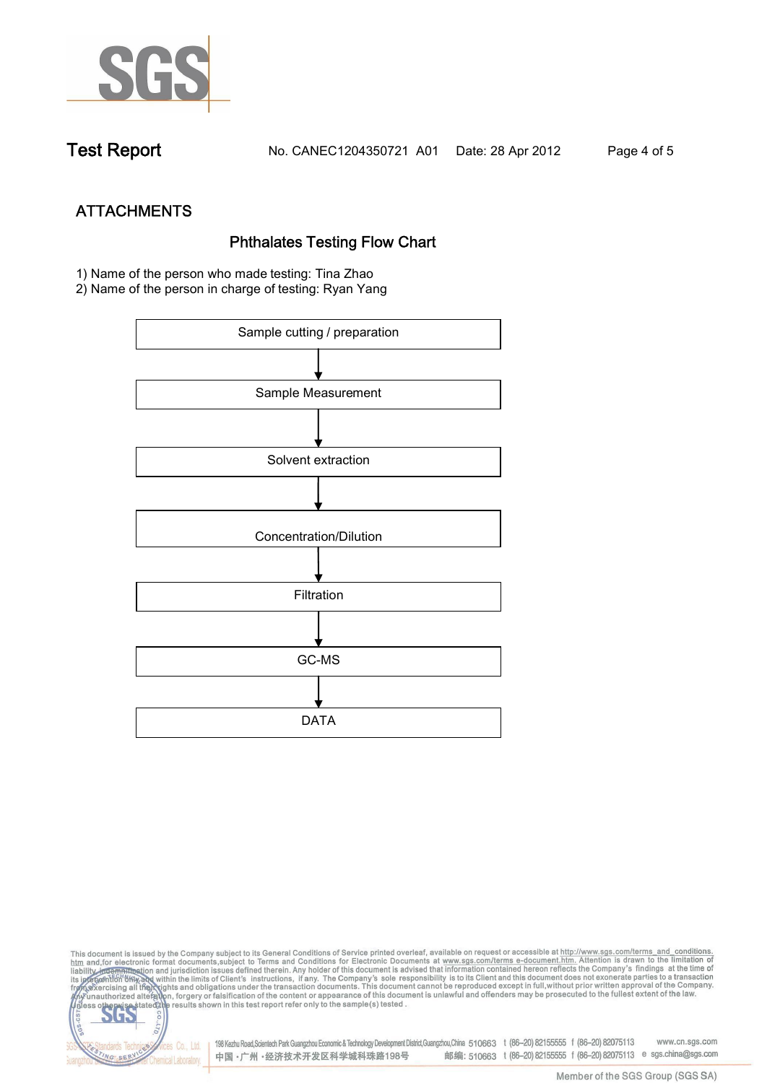

**Test Report. No. CANEC1204350721 A01 Date: 28 Apr 2012. Page 4 of 5.**

- **ATTACHMENTS Phthalates Testing Flow Chart 1)** Name of the person who made testing: **Tina Zhao**
- **2)** Name of the person in charge of testing: **Ryan Yang**